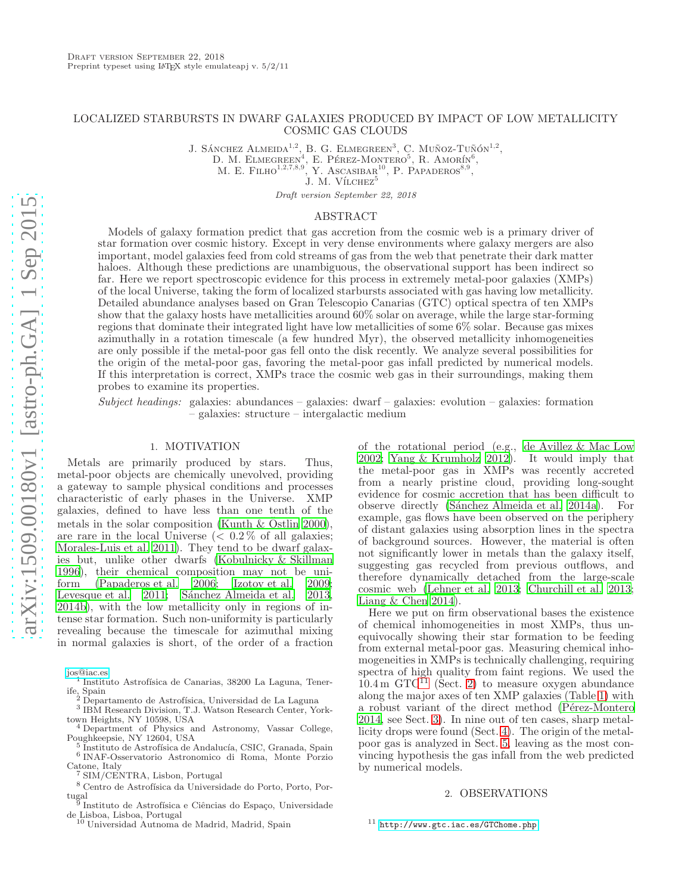# LOCALIZED STARBURSTS IN DWARF GALAXIES PRODUCED BY IMPACT OF LOW METALLICITY COSMIC GAS CLOUDS

J. SÁNCHEZ ALMEIDA<sup>1,2</sup>, B. G. ELMEGREEN<sup>3</sup>, C. MUÑOZ-TUÑÓN<sup>1,2</sup>,

D. M. ELMEGREEN<sup>4</sup>, E. PÉREZ-MONTERO<sup>5</sup>, R. AMORÍN<sup>6</sup>,

M. E. FILHO<sup>1,2,7,8,9</sup>, Y. ASCASIBAR<sup>10</sup>, P. PAPADEROS<sup>8,9</sup>,

J. M. VÍLCHEZ<sup>5</sup>

Draft version September 22, 2018

### ABSTRACT

Models of galaxy formation predict that gas accretion from the cosmic web is a primary driver of star formation over cosmic history. Except in very dense environments where galaxy mergers are also important, model galaxies feed from cold streams of gas from the web that penetrate their dark matter haloes. Although these predictions are unambiguous, the observational support has been indirect so far. Here we report spectroscopic evidence for this process in extremely metal-poor galaxies (XMPs) of the local Universe, taking the form of localized starbursts associated with gas having low metallicity. Detailed abundance analyses based on Gran Telescopio Canarias (GTC) optical spectra of ten XMPs show that the galaxy hosts have metallicities around 60% solar on average, while the large star-forming regions that dominate their integrated light have low metallicities of some 6% solar. Because gas mixes azimuthally in a rotation timescale (a few hundred Myr), the observed metallicity inhomogeneities are only possible if the metal-poor gas fell onto the disk recently. We analyze several possibilities for the origin of the metal-poor gas, favoring the metal-poor gas infall predicted by numerical models. If this interpretation is correct, XMPs trace the cosmic web gas in their surroundings, making them probes to examine its properties.

Subject headings: galaxies: abundances – galaxies: dwarf – galaxies: evolution – galaxies: formation – galaxies: structure – intergalactic medium

## 1. MOTIVATION

<span id="page-0-2"></span>Metals are primarily produced by stars. Thus, metal-poor objects are chemically unevolved, providing a gateway to sample physical conditions and processes characteristic of early phases in the Universe. XMP galaxies, defined to have less than one tenth of the metals in the solar composition (Kunth  $\&$  Östlin [2000\)](#page-5-0), are rare in the local Universe  $\langle 0.2 \, \%$  of all galaxies;[Morales-Luis et al. 2011\)](#page-5-1). They tend to be dwarf galaxies but, unlike other dwarfs [\(Kobulnicky & Skillman](#page-5-2) [1996\)](#page-5-2), their chemical composition may not be uniform (Papaderos et al.  $\overline{2006}$ ; [Izotov et al. 2009;](#page-4-0) [Levesque et al. 2011;](#page-5-4) Sánchez Almeida et al. 2013, [2014b](#page-5-6)), with the low metallicity only in regions of intense star formation. Such non-uniformity is particularly revealing because the timescale for azimuthal mixing in normal galaxies is short, of the order of a fraction

[jos@iac.es](mailto:jos@iac.es)

- <sup>1</sup> Instituto Astrofísica de Canarias, 38200 La Laguna, Tenerife, Spain<br><sup>2</sup> Departamento de Astrofísica, Universidad de La Laguna
- 
- 3 IBM Research Division, T.J. Watson Research Center, Yorktown Heights, NY 10598, USA
- <sup>4</sup> Department of Physics and Astronomy, Vassar College, Poughkeepsie, NY 12604, USA 5
- Instituto de Astrofísica de Andalucía, CSIC, Granada, Spain
- 6 INAF-Osservatorio Astronomico di Roma, Monte Porzio Catone, Italy
- SIM/CENTRA, Lisbon, Portugal
- $^8$  Centro de Astrofísica da Universidade do Porto, Portugal 9
- Instituto de Astrofísica e Ciências do Espaço, Universidade de Lisboa, Lisboa, Portugal <sup>10</sup> Universidad Autnoma de Madrid, Madrid, Spain

of the rotational period (e.g., [de Avillez & Mac Low](#page-4-1) [2002;](#page-4-1) [Yang & Krumholz 2012](#page-5-7)). It would imply that the metal-poor gas in XMPs was recently accreted from a nearly pristine cloud, providing long-sought evidence for cosmic accretion that has been difficult to observe directly (Sánchez Almeida et al. 2014a). For example, gas flows have been observed on the periphery of distant galaxies using absorption lines in the spectra of background sources. However, the material is often not significantly lower in metals than the galaxy itself, suggesting gas recycled from previous outflows, and therefore dynamically detached from the large-scale cosmic web [\(Lehner et al. 2013;](#page-5-9) [Churchill et al. 2013](#page-4-2); Liang  $&$  Chen 2014).

Here we put on firm observational bases the existence of chemical inhomogeneities in most XMPs, thus unequivocally showing their star formation to be feeding from external metal-poor gas. Measuring chemical inhomogeneities in XMPs is technically challenging, requiring spectra of high quality from faint regions. We used the  $10.4 \text{ m }$  GTC<sup>[11](#page-0-0)</sup> (Sect. [2\)](#page-0-1) to measure oxygen abundance along the major axes of ten XMP galaxies (Table [1\)](#page-2-0) with a robust variant of the direct method (Pérez-Montero [2014,](#page-5-11) see Sect. [3\)](#page-1-0). In nine out of ten cases, sharp metallicity drops were found (Sect. [4\)](#page-2-1). The origin of the metalpoor gas is analyzed in Sect. [5,](#page-3-0) leaving as the most convincing hypothesis the gas infall from the web predicted by numerical models.

## 2. OBSERVATIONS

<span id="page-0-1"></span><span id="page-0-0"></span><sup>11</sup> <http://www.gtc.iac.es/GTChome.php>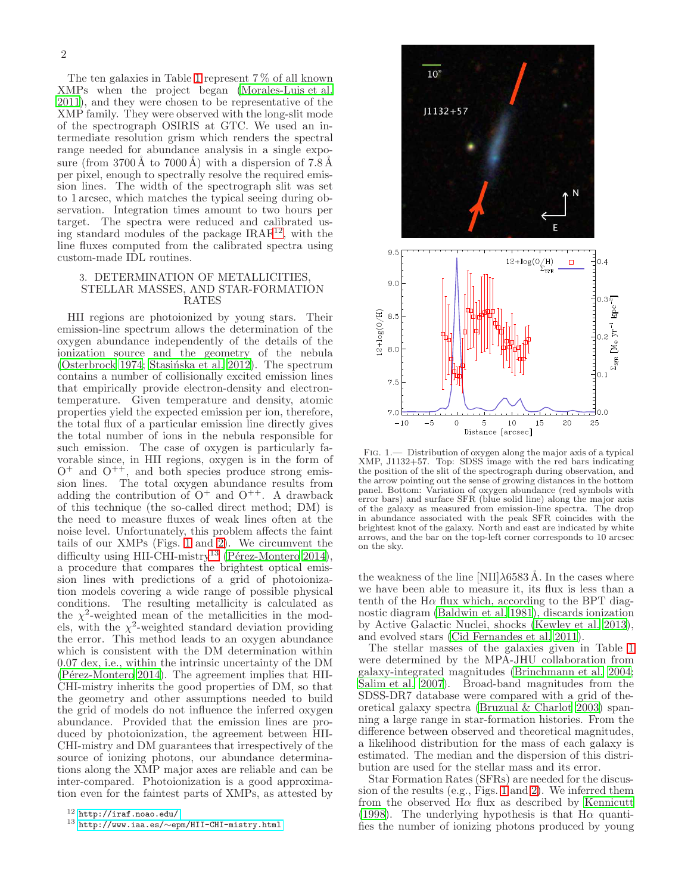The ten galaxies in Table [1](#page-2-0) represent  $7\,\%$  of all known XMPs when the project began [\(Morales-Luis et al.](#page-5-1) [2011\)](#page-5-1), and they were chosen to be representative of the XMP family. They were observed with the long-slit mode of the spectrograph OSIRIS at GTC. We used an intermediate resolution grism which renders the spectral range needed for abundance analysis in a single exposure (from  $3700\text{\AA}$  to  $7000\text{\AA}$ ) with a dispersion of  $7.8\text{\AA}$ per pixel, enough to spectrally resolve the required emission lines. The width of the spectrograph slit was set to 1 arcsec, which matches the typical seeing during observation. Integration times amount to two hours per target. The spectra were reduced and calibrated using standard modules of the package IRAF[12](#page-1-1), with the line fluxes computed from the calibrated spectra using custom-made IDL routines.

# <span id="page-1-0"></span>3. DETERMINATION OF METALLICITIES, STELLAR MASSES, AND STAR-FORMATION RATES

HII regions are photoionized by young stars. Their emission-line spectrum allows the determination of the oxygen abundance independently of the details of the ionization source and the geometry of the nebula [\(Osterbrock 1974](#page-5-12); Stasińska et al. 2012). The spectrum contains a number of collisionally excited emission lines that empirically provide electron-density and electrontemperature. Given temperature and density, atomic properties yield the expected emission per ion, therefore, the total flux of a particular emission line directly gives the total number of ions in the nebula responsible for such emission. The case of oxygen is particularly favorable since, in HII regions, oxygen is in the form of  $O^+$  and  $O^{++}$ , and both species produce strong emission lines. The total oxygen abundance results from adding the contribution of  $O^+$  and  $O^{++}$ . A drawback of this technique (the so-called direct method; DM) is the need to measure fluxes of weak lines often at the noise level. Unfortunately, this problem affects the faint tails of our XMPs (Figs. [1](#page-1-2) and [2\)](#page-2-2). We circumvent the difficulty using HII-CHI-mistry<sup>[13](#page-1-3)</sup> (Pérez-Montero 2014), a procedure that compares the brightest optical emission lines with predictions of a grid of photoionization models covering a wide range of possible physical conditions. The resulting metallicity is calculated as the  $\chi^2$ -weighted mean of the metallicities in the models, with the  $\chi^2$ -weighted standard deviation providing the error. This method leads to an oxygen abundance which is consistent with the DM determination within 0.07 dex, i.e., within the intrinsic uncertainty of the DM  $(Pérez-Montero 2014)$ . The agreement implies that HII-CHI-mistry inherits the good properties of DM, so that the geometry and other assumptions needed to build the grid of models do not influence the inferred oxygen abundance. Provided that the emission lines are produced by photoionization, the agreement between HII-CHI-mistry and DM guarantees that irrespectively of the source of ionizing photons, our abundance determinations along the XMP major axes are reliable and can be inter-compared. Photoionization is a good approximation even for the faintest parts of XMPs, as attested by



<span id="page-1-2"></span>Fig. 1.— Distribution of oxygen along the major axis of a typical XMP, J1132+57. Top: SDSS image with the red bars indicating the position of the slit of the spectrograph during observation, and the arrow pointing out the sense of growing distances in the bottom panel. Bottom: Variation of oxygen abundance (red symbols with error bars) and surface SFR (blue solid line) along the major axis of the galaxy as measured from emission-line spectra. The drop in abundance associated with the peak SFR coincides with the brightest knot of the galaxy. North and east are indicated by white arrows, and the bar on the top-left corner corresponds to 10 arcsec on the sky.

the weakness of the line [NII] $\lambda$ 6583 Å. In the cases where we have been able to measure it, its flux is less than a tenth of the H $\alpha$  flux which, according to the BPT diagnostic diagram [\(Baldwin et al. 1981\)](#page-4-3), discards ionization by Active Galactic Nuclei, shocks [\(Kewley et al. 2013](#page-5-14)), and evolved stars [\(Cid Fernandes et al. 2011\)](#page-4-4).

The stellar masses of the galaxies given in Table [1](#page-2-0) were determined by the MPA-JHU collaboration from galaxy-integrated magnitudes [\(Brinchmann et al. 2004](#page-4-5); [Salim et al. 2007\)](#page-5-15). Broad-band magnitudes from the SDSS-DR7 database were compared with a grid of theoretical galaxy spectra [\(Bruzual & Charlot 2003\)](#page-4-6) spanning a large range in star-formation histories. From the difference between observed and theoretical magnitudes, a likelihood distribution for the mass of each galaxy is estimated. The median and the dispersion of this distribution are used for the stellar mass and its error.

Star Formation Rates (SFRs) are needed for the discussion of the results (e.g., Figs. [1](#page-1-2) and [2\)](#page-2-2). We inferred them from the observed  $H\alpha$  flux as described by [Kennicutt](#page-5-16) [\(1998\)](#page-5-16). The underlying hypothesis is that  $H\alpha$  quantifies the number of ionizing photons produced by young

<sup>12</sup> <http://iraf.noao.edu/>

<span id="page-1-3"></span><span id="page-1-1"></span><sup>13</sup> http://www.iaa.es/∼[epm/HII-CHI-mistry.html](http://www.iaa.es/~epm/HII-CHI-mistry.html)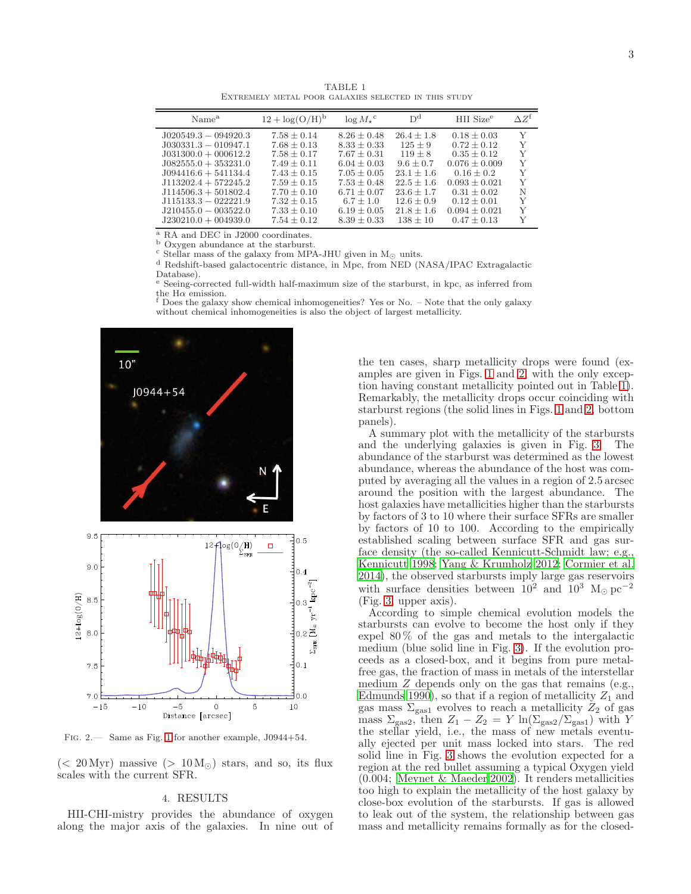TABLE 1 Extremely metal poor galaxies selected in this study

<span id="page-2-0"></span>

| Name <sup>a</sup>                                 | $12 + \log(O/H)^{b}$           | $\log M_{\star}$ <sup>c</sup>  | $\mathcal{D}^{\mathrm{d}}$   | HII Size <sup>e</sup>              | $\Delta Z^{\rm f}$ |
|---------------------------------------------------|--------------------------------|--------------------------------|------------------------------|------------------------------------|--------------------|
| $J020549.3 - 094920.3$<br>$.1030331.3 - 010947.1$ | $7.58 + 0.14$<br>$7.68 + 0.13$ | $8.26 + 0.48$<br>$8.33 + 0.33$ | $26.4 + 1.8$<br>$125 + 9$    | $0.18 \pm 0.03$<br>$0.72 \pm 0.12$ | Y<br>Y             |
| $J031300.0 + 000612.2$<br>$J082555.0 + 353231.0$  | $7.58 + 0.17$<br>$7.49 + 0.11$ | $7.67 + 0.31$<br>$6.04 + 0.03$ | $119 + 8$<br>$9.6 + 0.7$     | $0.35 + 0.12$<br>$0.076 + 0.009$   | Y<br>Y             |
| $J094416.6 + 541134.4$<br>$J113202.4 + 572245.2$  | $7.43 + 0.15$<br>$7.59 + 0.15$ | $7.05 + 0.05$<br>$7.53 + 0.48$ | $23.1 + 1.6$<br>$22.5 + 1.6$ | $0.16 + 0.2$<br>$0.093 + 0.021$    | V<br>V             |
| $J114506.3 + 501802.4$                            | $7.70 + 0.10$                  | $6.71 + 0.07$                  | $23.6 + 1.7$                 | $0.31 + 0.02$                      | N                  |
| $.1115133.3 - 022221.9$<br>$J210455.0 - 003522.0$ | $7.32 + 0.15$<br>$7.33 + 0.10$ | $6.7 + 1.0$<br>$6.19 + 0.05$   | $12.6 + 0.9$<br>$21.8 + 1.6$ | $0.12 + 0.01$<br>$0.094 + 0.021$   | V<br>V<br>V        |
| $J230210.0 + 004939.0$                            | $7.54 + 0.12$                  | $8.39 + 0.33$                  | $138 + 10$                   | $0.47 \pm 0.13$                    |                    |

<sup>a</sup> RA and DEC in J2000 coordinates.

<sup>b</sup> Oxygen abundance at the starburst.

 $\rm c$  Stellar mass of the galaxy from MPA-JHU given in  $\rm M_{\odot}$  units.

<sup>d</sup> Redshift-based galactocentric distance, in Mpc, from NED (NASA/IPAC Extragalactic Database).

<sup>e</sup> Seeing-corrected full-width half-maximum size of the starburst, in kpc, as inferred from the H $\alpha$  emission.<br><sup>f</sup> Does the galaxy show chemical inhomogeneities? Yes or No. – Note that the only galaxy

without chemical inhomogeneities is also the object of largest metallicity.



<span id="page-2-2"></span>Fig. 2.— Same as Fig. [1](#page-1-2) for another example, J0944+54.

<span id="page-2-1"></span> $(< 20 \,\mathrm{Myr})$  massive  $(> 10 \,\mathrm{M}_{\odot})$  stars, and so, its flux scales with the current SFR.

#### 4. RESULTS

HII-CHI-mistry provides the abundance of oxygen along the major axis of the galaxies. In nine out of

the ten cases, sharp metallicity drops were found (examples are given in Figs. [1](#page-1-2) and [2,](#page-2-2) with the only exception having constant metallicity pointed out in Table [1\)](#page-2-0). Remarkably, the metallicity drops occur coinciding with starburst regions (the solid lines in Figs. [1](#page-1-2) and [2,](#page-2-2) bottom panels).

A summary plot with the metallicity of the starbursts and the underlying galaxies is given in Fig. [3.](#page-3-1) The abundance of the starburst was determined as the lowest abundance, whereas the abundance of the host was computed by averaging all the values in a region of 2.5 arcsec around the position with the largest abundance. The host galaxies have metallicities higher than the starbursts by factors of 3 to 10 where their surface SFRs are smaller by factors of 10 to 100. According to the empirically established scaling between surface SFR and gas surface density (the so-called Kennicutt-Schmidt law; e.g., [Kennicutt 1998;](#page-5-16) [Yang & Krumholz 2012;](#page-5-7) [Cormier et al.](#page-4-7) [2014\)](#page-4-7), the observed starbursts imply large gas reservoirs with surface densities between  $10^2$  and  $10^3$  M<sub>☉</sub> pc<sup>-2</sup> (Fig. [3,](#page-3-1) upper axis).

According to simple chemical evolution models the starbursts can evolve to become the host only if they expel  $80\%$  of the gas and metals to the intergalactic medium (blue solid line in Fig. [3\)](#page-3-1). If the evolution proceeds as a closed-box, and it begins from pure metalfree gas, the fraction of mass in metals of the interstellar medium Z depends only on the gas that remains (e.g., [Edmunds 1990\)](#page-4-8), so that if a region of metallicity  $Z_1$  and gas mass  $\Sigma_{\rm gas1}$  evolves to reach a metallicity  $Z_2$  of gas mass  $\Sigma_{\text{gas2}}$ , then  $Z_1 - Z_2 = Y \ln(\Sigma_{\text{gas2}}/\Sigma_{\text{gas1}})$  with Y the stellar yield, i.e., the mass of new metals eventually ejected per unit mass locked into stars. The red solid line in Fig. [3](#page-3-1) shows the evolution expected for a region at the red bullet assuming a typical Oxygen yield (0.004; [Meynet & Maeder 2002\)](#page-5-17). It renders metallicities too high to explain the metallicity of the host galaxy by close-box evolution of the starbursts. If gas is allowed to leak out of the system, the relationship between gas mass and metallicity remains formally as for the closed-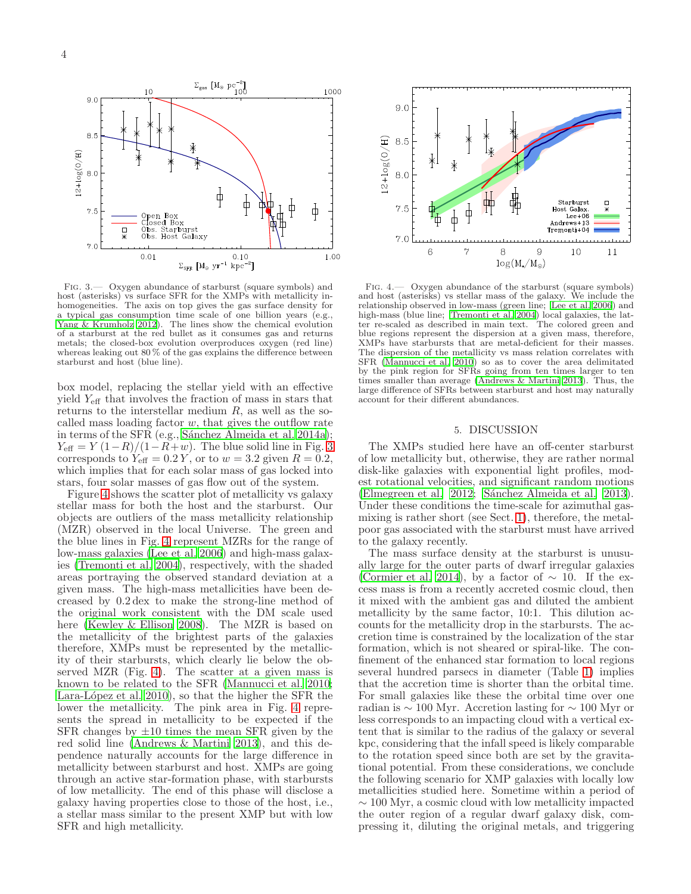

<span id="page-3-1"></span>Fig. 3.— Oxygen abundance of starburst (square symbols) and host (asterisks) vs surface SFR for the XMPs with metallicity inhomogeneities. The axis on top gives the gas surface density for a typical gas consumption time scale of one billion years (e.g., [Yang & Krumholz 2012\)](#page-5-7). The lines show the chemical evolution of a starburst at the red bullet as it consumes gas and returns metals; the closed-box evolution overproduces oxygen (red line) whereas leaking out  $80\,\%$  of the gas explains the difference between starburst and host (blue line).

box model, replacing the stellar yield with an effective yield  $Y_{\text{eff}}$  that involves the fraction of mass in stars that returns to the interstellar medium R, as well as the socalled mass loading factor  $w$ , that gives the outflow rate in terms of the SFR (e.g., Sánchez Almeida et al. 2014a);  $Y_{\text{eff}} = Y(1-R)/(1-R+w)$ . The blue solid line in Fig. [3](#page-3-1) corresponds to  $\widetilde{Y}_{\text{eff}} = 0.2 Y$ , or to  $w = 3.2$  given  $R = 0.2$ , which implies that for each solar mass of gas locked into stars, four solar masses of gas flow out of the system.

Figure [4](#page-3-2) shows the scatter plot of metallicity vs galaxy stellar mass for both the host and the starburst. Our objects are outliers of the mass metallicity relationship (MZR) observed in the local Universe. The green and the blue lines in Fig. [4](#page-3-2) represent MZRs for the range of low-mass galaxies [\(Lee et al. 2006\)](#page-5-18) and high-mass galaxies [\(Tremonti et al. 2004](#page-5-19)), respectively, with the shaded areas portraying the observed standard deviation at a given mass. The high-mass metallicities have been decreased by 0.2 dex to make the strong-line method of the original work consistent with the DM scale used here [\(Kewley & Ellison 2008\)](#page-5-20). The MZR is based on the metallicity of the brightest parts of the galaxies therefore, XMPs must be represented by the metallicity of their starbursts, which clearly lie below the observed MZR (Fig. [4\)](#page-3-2). The scatter at a given mass is known to be related to the SFR [\(Mannucci et al. 2010;](#page-5-21) Lara-López et al. 2010), so that the higher the SFR the lower the metallicity. The pink area in Fig. [4](#page-3-2) represents the spread in metallicity to be expected if the SFR changes by  $\pm 10$  times the mean SFR given by the red solid line [\(Andrews & Martini 2013\)](#page-4-9), and this dependence naturally accounts for the large difference in metallicity between starburst and host.  $\tilde{X}MPs$  are going through an active star-formation phase, with starbursts of low metallicity. The end of this phase will disclose a galaxy having properties close to those of the host, i.e., a stellar mass similar to the present XMP but with low SFR and high metallicity.



<span id="page-3-2"></span>Fig. 4.— Oxygen abundance of the starburst (square symbols) and host (asterisks) vs stellar mass of the galaxy. We include the relationship observed in low-mass (green line; [Lee et al. 2006](#page-5-18)) and high-mass (blue line; [Tremonti et al. 2004\)](#page-5-19) local galaxies, the latter re-scaled as described in main text. The colored green and blue regions represent the dispersion at a given mass, therefore, XMPs have starbursts that are metal-deficient for their masses. The dispersion of the metallicity vs mass relation correlates with SFR [\(Mannucci et al. 2010\)](#page-5-21) so as to cover the area delimitated by the pink region for SFRs going from ten times larger to ten times smaller than average [\(Andrews & Martini 2013](#page-4-9)). Thus, the large difference of SFRs between starburst and host may naturally account for their different abundances.

### 5. DISCUSSION

<span id="page-3-0"></span>The XMPs studied here have an off-center starburst of low metallicity but, otherwise, they are rather normal disk-like galaxies with exponential light profiles, modest rotational velocities, and significant random motions [\(Elmegreen et al. 2012;](#page-4-10) Sánchez Almeida et al. 2013). Under these conditions the time-scale for azimuthal gasmixing is rather short (see Sect. [1\)](#page-0-2), therefore, the metalpoor gas associated with the starburst must have arrived to the galaxy recently.

The mass surface density at the starburst is unusually large for the outer parts of dwarf irregular galaxies [\(Cormier et al. 2014\)](#page-4-7), by a factor of  $\sim$  10. If the excess mass is from a recently accreted cosmic cloud, then it mixed with the ambient gas and diluted the ambient metallicity by the same factor, 10:1. This dilution accounts for the metallicity drop in the starbursts. The accretion time is constrained by the localization of the star formation, which is not sheared or spiral-like. The confinement of the enhanced star formation to local regions several hundred parsecs in diameter (Table [1\)](#page-2-0) implies that the accretion time is shorter than the orbital time. For small galaxies like these the orbital time over one radian is  $\sim 100$  Myr. Accretion lasting for  $\sim 100$  Myr or less corresponds to an impacting cloud with a vertical extent that is similar to the radius of the galaxy or several kpc, considering that the infall speed is likely comparable to the rotation speed since both are set by the gravitational potential. From these considerations, we conclude the following scenario for XMP galaxies with locally low metallicities studied here. Sometime within a period of  $\sim$  100 Myr, a cosmic cloud with low metallicity impacted the outer region of a regular dwarf galaxy disk, compressing it, diluting the original metals, and triggering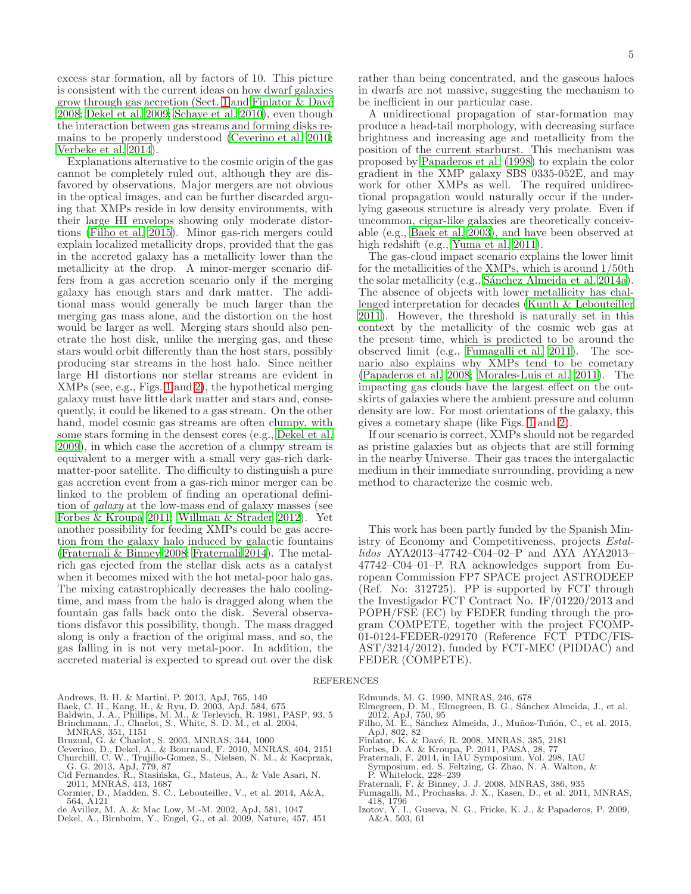excess star formation, all by factors of 10. This picture is consistent with the current ideas on how dwarf galaxies grow through gas accretion (Sect. [1](#page-0-2) and Finlator  $&$  Davé [2008;](#page-4-11) [Dekel et al. 2009](#page-4-12); [Schaye et al. 2010\)](#page-5-23), even though the interaction between gas streams and forming disks remains to be properly understood [\(Ceverino et al. 2010;](#page-4-13) [Verbeke et al. 2014](#page-5-24)).

Explanations alternative to the cosmic origin of the gas cannot be completely ruled out, although they are disfavored by observations. Major mergers are not obvious in the optical images, and can be further discarded arguing that XMPs reside in low density environments, with their large HI envelops showing only moderate distortions [\(Filho et al. 2015\)](#page-4-14). Minor gas-rich mergers could explain localized metallicity drops, provided that the gas in the accreted galaxy has a metallicity lower than the metallicity at the drop. A minor-merger scenario differs from a gas accretion scenario only if the merging galaxy has enough stars and dark matter. The additional mass would generally be much larger than the merging gas mass alone, and the distortion on the host would be larger as well. Merging stars should also penetrate the host disk, unlike the merging gas, and these stars would orbit differently than the host stars, possibly producing star streams in the host halo. Since neither large HI distortions nor stellar streams are evident in XMPs (see, e.g., Figs. [1](#page-1-2) and [2\)](#page-2-2), the hypothetical merging galaxy must have little dark matter and stars and, consequently, it could be likened to a gas stream. On the other hand, model cosmic gas streams are often clumpy, with some stars forming in the densest cores (e.g., [Dekel et al.](#page-4-12) [2009\)](#page-4-12), in which case the accretion of a clumpy stream is equivalent to a merger with a small very gas-rich darkmatter-poor satellite. The difficulty to distinguish a pure gas accretion event from a gas-rich minor merger can be linked to the problem of finding an operational definition of galaxy at the low-mass end of galaxy masses (see [Forbes & Kroupa 2011;](#page-4-15) [Willman & Strader 2012](#page-5-25)). Yet another possibility for feeding XMPs could be gas accretion from the galaxy halo induced by galactic fountains [\(Fraternali & Binney 2008](#page-4-16); [Fraternali 2014\)](#page-4-17). The metalrich gas ejected from the stellar disk acts as a catalyst when it becomes mixed with the hot metal-poor halo gas. The mixing catastrophically decreases the halo coolingtime, and mass from the halo is dragged along when the fountain gas falls back onto the disk. Several observations disfavor this possibility, though. The mass dragged along is only a fraction of the original mass, and so, the gas falling in is not very metal-poor. In addition, the accreted material is expected to spread out over the disk rather than being concentrated, and the gaseous haloes in dwarfs are not massive, suggesting the mechanism to be inefficient in our particular case.

A unidirectional propagation of star-formation may produce a head-tail morphology, with decreasing surface brightness and increasing age and metallicity from the position of the current starburst. This mechanism was proposed by [Papaderos et al. \(1998\)](#page-5-26) to explain the color gradient in the XMP galaxy SBS 0335-052E, and may work for other XMPs as well. The required unidirectional propagation would naturally occur if the underlying gaseous structure is already very prolate. Even if uncommon, cigar-like galaxies are theoretically conceivable (e.g., [Baek et al. 2003\)](#page-4-18), and have been observed at high redshift (e.g., [Yuma et al. 2011](#page-5-27)).

The gas-cloud impact scenario explains the lower limit for the metallicities of the XMPs, which is around 1/50th the solar metallicity (e.g., Sánchez Almeida et al. 2014a). The absence of objects with lower metallicity has challenged interpretation for decades [\(Kunth & Lebouteiller](#page-5-28) [2011\)](#page-5-28). However, the threshold is naturally set in this context by the metallicity of the cosmic web gas at the present time, which is predicted to be around the observed limit (e.g., [Fumagalli et al. 2011\)](#page-4-19). The scenario also explains why XMPs tend to be cometary [\(Papaderos et al. 2008;](#page-5-29) [Morales-Luis et al. 2011\)](#page-5-1). The impacting gas clouds have the largest effect on the outskirts of galaxies where the ambient pressure and column density are low. For most orientations of the galaxy, this gives a cometary shape (like Figs. [1](#page-1-2) and [2\)](#page-2-2).

If our scenario is correct, XMPs should not be regarded as pristine galaxies but as objects that are still forming in the nearby Universe. Their gas traces the intergalactic medium in their immediate surrounding, providing a new method to characterize the cosmic web.

This work has been partly funded by the Spanish Ministry of Economy and Competitiveness, projects Estallidos AYA2013–47742–C04–02–P and AYA AYA2013– 47742–C04–01–P. RA acknowledges support from European Commission FP7 SPACE project ASTRODEEP (Ref. No: 312725). PP is supported by FCT through the Investigador FCT Contract No. IF/01220/2013 and POPH/FSE (EC) by FEDER funding through the program COMPETE, together with the project FCOMP-01-0124-FEDER-029170 (Reference FCT PTDC/FIS-AST/3214/2012), funded by FCT-MEC (PIDDAC) and FEDER (COMPETE).

- **REFERENCES**
- 
- <span id="page-4-18"></span><span id="page-4-3"></span>
- <span id="page-4-9"></span>Andrews, B. H. & Martini, P. 2013, ApJ, 765, 140<br>Baek, C. H., Kang, H., & Ryu, D. 2003, ApJ, 584, 675<br>Baldwin, J. A., Phillips, M. M., & Terlevich, R. 1981, PASP, 93, 5<br>Brinchmann, J., Charlot, S., White, S. D. M., et al.
- <span id="page-4-5"></span>
- 
- 
- <span id="page-4-13"></span><span id="page-4-2"></span>
- <span id="page-4-6"></span>Bruzual, G. & Charlot, S. 2003, MNRAS, 344, 1000<br>Ceverino, D., Dekel, A., & Bournaud, F. 2010, MNRAS, 404, 2151<br>Churchill, C. W., Trujillo-Gomez, S., Nielsen, N. M., & Kacprzak,<br>G. G. 2013, ApJ, 779, 87<br>Cid Fernandes, R.,
- <span id="page-4-7"></span><span id="page-4-4"></span>Cormier, D., Madden, S. C., Lebouteiller, V., et al. 2014, A&A, 564, A121
- de Avillez, M. A. & Mac Low, M.-M. 2002, ApJ, 581, 1047
- <span id="page-4-12"></span><span id="page-4-1"></span>Dekel, A., Birnboim, Y., Engel, G., et al. 2009, Nature, 457, 451
- <span id="page-4-8"></span>Edmunds, M. G. 1990, MNRAS, 246, 678
- <span id="page-4-10"></span>Elmegreen, D. M., Elmegreen, B. G., Sánchez Almeida, J., et al.<br>2012, ApJ, 750, 95<br>Filho, M. E., Sánchez Almeida, J., Muñoz-Tuñón, C., et al. 2015,
- <span id="page-4-14"></span>ApJ, 802, 82
- <span id="page-4-11"></span>Finlator, K. & Davé, R. 2008, MNRAS, 385, 2181
- <span id="page-4-17"></span><span id="page-4-15"></span>
- Forbes, D. A. & Kroupa, P. 2011, PASA, 28, 77 Fraternali, F. 2014, in IAU Symposium, Vol. 298, IAU Symposium, ed. S. Feltzing, G. Zhao, N. A. Walton, & P. Whitelock, 228–239 Fraternali, F. & Binney, J. J. 2008, MNRAS, 386, 935
- <span id="page-4-16"></span>
- Fumagalli, M., Prochaska, J. X., Kasen, D., et al. 2011, MNRAS,
- <span id="page-4-19"></span><span id="page-4-0"></span>418, 1796 Izotov, Y. I., Guseva, N. G., Fricke, K. J., & Papaderos, P. 2009, A&A, 503, 61